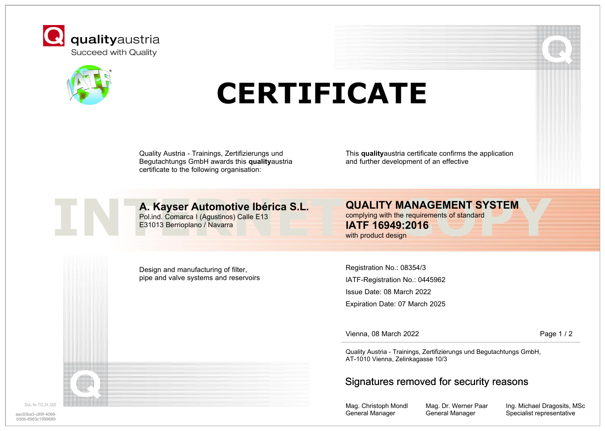



# **CERTIFICATE**

Quality Austria - Trainings, Zertifizierungs und Begutachtungs GmbH awards this **quality**austria certificate to the following organisation:

This **quality**austria certificate confirms the application and further development of an effective



### **A. Kayser Automotive Ibérica S.L.**

Pol.ind. Comarca I (Agustinos) Calle E13 E31013 Berrioplano / Navarra

complying with the requirements of standard **IATF 16949:2016** with product design

Design and manufacturing of filter, pipe and valve systems and reservoirs

Registration No.: 08354/3 IATF-Registration No.: 0445962 Issue Date: 08 March 2022 Expiration Date: 07 March 2025

Vienna, 08 March 2022 **Page 1 / 2** 

Quality Austria - Trainings, Zertifizierungs und Begutachtungs GmbH, AT-1010 Vienna, Zelinkagasse 10/3

#### Signatures removed for security reasons

Mag. Christoph Mondl General Manager

Mag. Dr. Werner Paar General Manager

Ing. Michael Dragosits, MSc aac93ba3-c89f-4068- **Specialist representative** Specialist representative of the case of the case of the case of the case of the case of the case of the case of the case of the case of the case of the case of the case of t

Dok. Nr. FO 24 029

b50b-6963c1999689